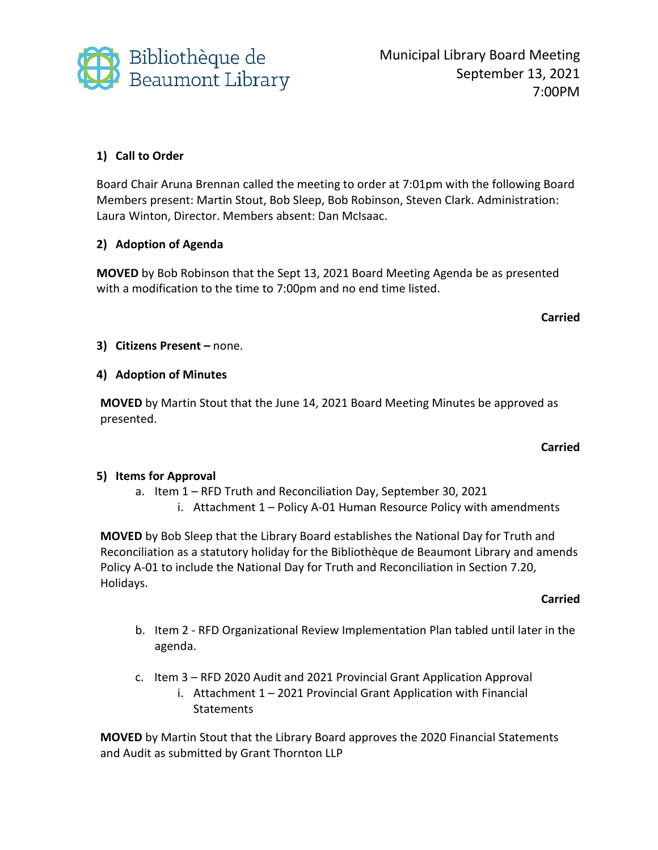

Municipal Library Board Meeting September 13, 2021 7:00PM

## **1) Call to Order**

Board Chair Aruna Brennan called the meeting to order at 7:01pm with the following Board Members present: Martin Stout, Bob Sleep, Bob Robinson, Steven Clark. Administration: Laura Winton, Director. Members absent: Dan McIsaac.

### **2) Adoption of Agenda**

**MOVED** by Bob Robinson that the Sept 13, 2021 Board Meeting Agenda be as presented with a modification to the time to 7:00pm and no end time listed.

#### **Carried**

### **3) Citizens Present –** none.

### **4) Adoption of Minutes**

**MOVED** by Martin Stout that the June 14, 2021 Board Meeting Minutes be approved as presented.

#### **Carried**

### **5) Items for Approval**

- a. Item 1 RFD Truth and Reconciliation Day, September 30, 2021
	- i. Attachment 1 Policy A-01 Human Resource Policy with amendments

**MOVED** by Bob Sleep that the Library Board establishes the National Day for Truth and Reconciliation as a statutory holiday for the Bibliothèque de Beaumont Library and amends Policy A-01 to include the National Day for Truth and Reconciliation in Section 7.20, Holidays.

#### **Carried**

- b. Item 2 RFD Organizational Review Implementation Plan tabled until later in the agenda.
- c. Item 3 RFD 2020 Audit and 2021 Provincial Grant Application Approval
	- i. Attachment 1 2021 Provincial Grant Application with Financial **Statements**

**MOVED** by Martin Stout that the Library Board approves the 2020 Financial Statements and Audit as submitted by Grant Thornton LLP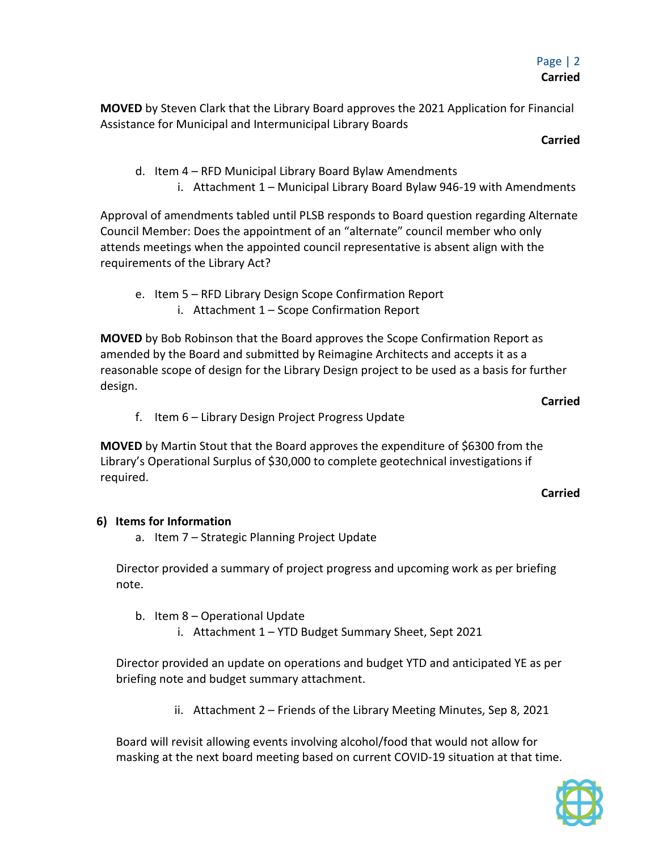**MOVED** by Steven Clark that the Library Board approves the 2021 Application for Financial Assistance for Municipal and Intermunicipal Library Boards

**Carried**

- d. Item 4 RFD Municipal Library Board Bylaw Amendments
	- i. Attachment 1 Municipal Library Board Bylaw 946-19 with Amendments

Approval of amendments tabled until PLSB responds to Board question regarding Alternate Council Member: Does the appointment of an "alternate" council member who only attends meetings when the appointed council representative is absent align with the requirements of the Library Act?

e. Item 5 – RFD Library Design Scope Confirmation Report i. Attachment 1 – Scope Confirmation Report

**MOVED** by Bob Robinson that the Board approves the Scope Confirmation Report as amended by the Board and submitted by Reimagine Architects and accepts it as a reasonable scope of design for the Library Design project to be used as a basis for further design.

**Carried**

f. Item 6 – Library Design Project Progress Update

**MOVED** by Martin Stout that the Board approves the expenditure of \$6300 from the Library's Operational Surplus of \$30,000 to complete geotechnical investigations if required.

#### **Carried**

### **6) Items for Information**

a. Item 7 – Strategic Planning Project Update

Director provided a summary of project progress and upcoming work as per briefing note.

- b. Item 8 Operational Update
	- i. Attachment 1 YTD Budget Summary Sheet, Sept 2021

Director provided an update on operations and budget YTD and anticipated YE as per briefing note and budget summary attachment.

ii. Attachment 2 – Friends of the Library Meeting Minutes, Sep 8, 2021

Board will revisit allowing events involving alcohol/food that would not allow for masking at the next board meeting based on current COVID-19 situation at that time.

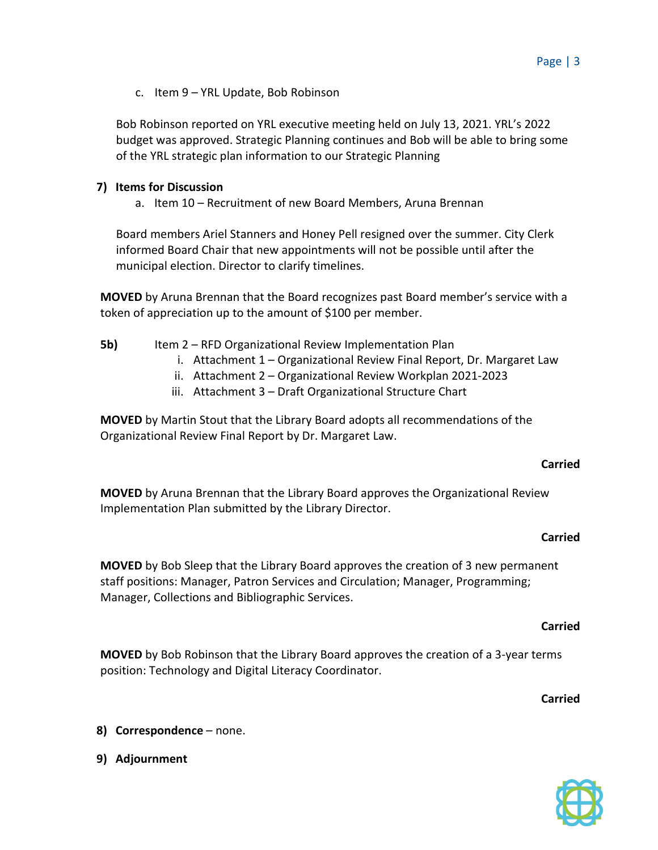c. Item 9 – YRL Update, Bob Robinson

Bob Robinson reported on YRL executive meeting held on July 13, 2021. YRL's 2022 budget was approved. Strategic Planning continues and Bob will be able to bring some of the YRL strategic plan information to our Strategic Planning

### **7) Items for Discussion**

a. Item 10 – Recruitment of new Board Members, Aruna Brennan

Board members Ariel Stanners and Honey Pell resigned over the summer. City Clerk informed Board Chair that new appointments will not be possible until after the municipal election. Director to clarify timelines.

**MOVED** by Aruna Brennan that the Board recognizes past Board member's service with a token of appreciation up to the amount of \$100 per member.

### **5b)** Item 2 – RFD Organizational Review Implementation Plan

- i. Attachment 1 Organizational Review Final Report, Dr. Margaret Law
- ii. Attachment 2 Organizational Review Workplan 2021-2023
- iii. Attachment 3 Draft Organizational Structure Chart

**MOVED** by Martin Stout that the Library Board adopts all recommendations of the Organizational Review Final Report by Dr. Margaret Law.

#### **Carried**

**MOVED** by Aruna Brennan that the Library Board approves the Organizational Review Implementation Plan submitted by the Library Director.

#### **Carried**

**MOVED** by Bob Sleep that the Library Board approves the creation of 3 new permanent staff positions: Manager, Patron Services and Circulation; Manager, Programming; Manager, Collections and Bibliographic Services.

#### **Carried**

**MOVED** by Bob Robinson that the Library Board approves the creation of a 3-year terms position: Technology and Digital Literacy Coordinator.

**Carried**

- **8) Correspondence** none.
- **9) Adjournment**